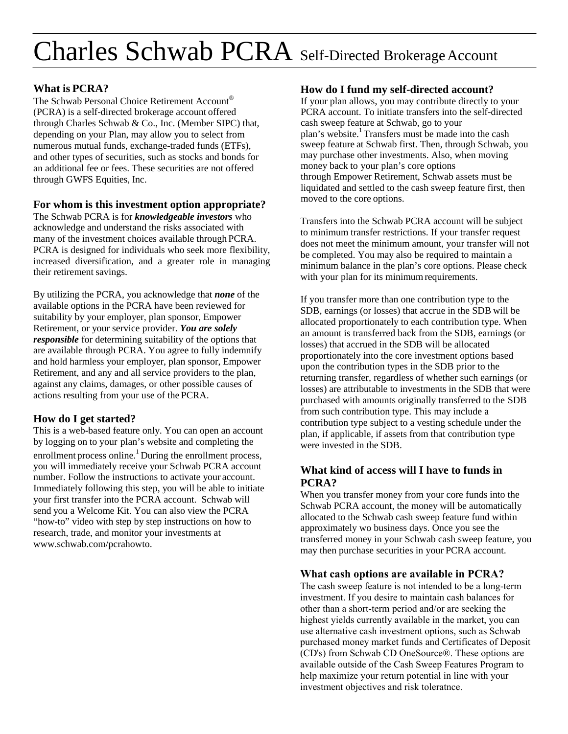# Charles Schwab PCRA Self-Directed Brokerage Account

#### **What is PCRA?**

The Schwab Personal Choice Retirement Account® (PCRA) is a self-directed brokerage account offered through Charles Schwab & Co., Inc. (Member SIPC) that, depending on your Plan, may allow you to select from numerous mutual funds, exchange-traded funds (ETFs), and other types of securities, such as stocks and bonds for an additional fee or fees. These securities are not offered through GWFS Equities, Inc.

#### **For whom is this investment option appropriate?**

The Schwab PCRA is for *knowledgeable investors* who acknowledge and understand the risks associated with many of the investment choices available through PCRA. PCRA is designed for individuals who seek more flexibility, increased diversification, and a greater role in managing their retirement savings.

By utilizing the PCRA, you acknowledge that *none* of the available options in the PCRA have been reviewed for suitability by your employer, plan sponsor, Empower Retirement, or your service provider. *You are solely responsible* for determining suitability of the options that are available through PCRA. You agree to fully indemnify and hold harmless your employer, plan sponsor, Empower Retirement, and any and all service providers to the plan, against any claims, damages, or other possible causes of actions resulting from your use of the PCRA.

# **How do I get started?**

This is a web-based feature only. You can open an account by logging on to your plan's website and completing the enrollment process online.<sup>1</sup> During the enrollment process, you will immediately receive your Schwab PCRA account number. Follow the instructions to activate your account. Immediately following this step, you will be able to initiate your first transfer into the PCRA account. Schwab will send you a Welcome Kit. You can also view the PCRA "how-to" video with step by step instructions on how to research, trade, and monitor your investments at [www.schwab.com/pcrahowto.](http://www.schwab.com/pcrahowto) 

#### **How do I fund my self-directed account?**

If your plan allows, you may contribute directly to your PCRA account. To initiate transfers into the self-directed cash sweep feature at Schwab, go to your plan's website.<sup>1</sup> Transfers must be made into the cash sweep feature at Schwab first. Then, through Schwab, you may purchase other investments. Also, when moving money back to your plan's core options through Empower Retirement, Schwab assets must be liquidated and settled to the cash sweep feature first, then moved to the core options.

Transfers into the Schwab PCRA account will be subject to minimum transfer restrictions. If your transfer request does not meet the minimum amount, your transfer will not be completed. You may also be required to maintain a minimum balance in the plan's core options. Please check with your plan for its minimum requirements.

If you transfer more than one contribution type to the SDB, earnings (or losses) that accrue in the SDB will be allocated proportionately to each contribution type. When an amount is transferred back from the SDB, earnings (or losses) that accrued in the SDB will be allocated proportionately into the core investment options based upon the contribution types in the SDB prior to the returning transfer, regardless of whether such earnings (or losses) are attributable to investments in the SDB that were purchased with amounts originally transferred to the SDB from such contribution type. This may include a contribution type subject to a vesting schedule under the plan, if applicable, if assets from that contribution type were invested in the SDB.

## **What kind of access will I have to funds in PCRA?**

When you transfer money from your core funds into the Schwab PCRA account, the money will be automatically allocated to the Schwab cash sweep feature fund within approximately wo business days. Once you see the transferred money in your Schwab cash sweep feature, you may then purchase securities in your PCRA account.

### **What cash options are available in PCRA?**

The cash sweep feature is not intended to be a long-term investment. If you desire to maintain cash balances for other than a short-term period and/or are seeking the highest yields currently available in the market, you can use alternative cash investment options, such as Schwab purchased money market funds and Certificates of Deposit (CD's) from Schwab CD OneSource®. These options are available outside of the Cash Sweep Features Program to help maximize your return potential in line with your investment objectives and risk toleratnce.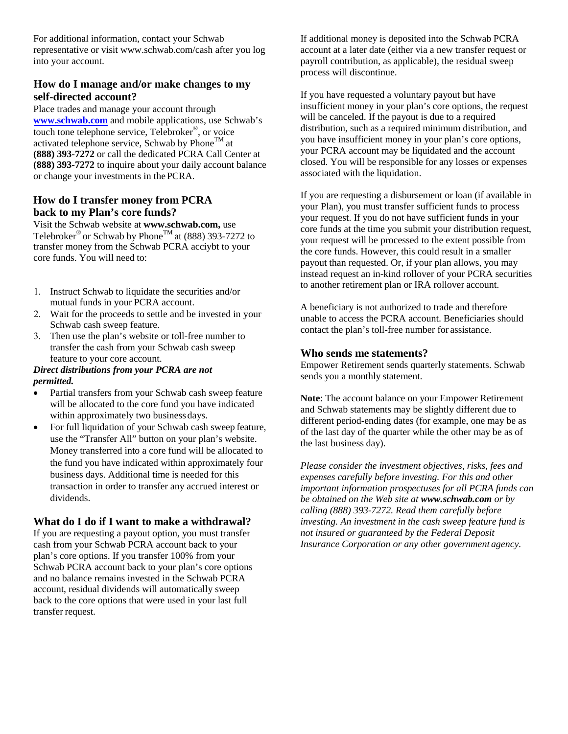For additional information, contact your Schwab representative or visi[t www.schwab.com/cash](http://www.schwab.com/cash) after you log into your account.

#### **How do I manage and/or make changes to my self-directed account?**

Place trades and manage your account through **www.schwab.com** and mobile applications, use Schwab's touch tone telephone service, Telebroker® , or voice [activated telephone s](http://www.schwab.com/)ervice, Schwab by Phone<sup>TM</sup> at **(888) 393-7272** or call the dedicated PCRA Call Center at **(888) 393-7272** to inquire about your daily account balance or change your investments in the PCRA.

#### **How do I transfer money from PCRA back to my Plan's core funds?**

Visit the Schwab website at **[www.schwab.com,](http://www.schwab.com/)** use Telebroker® or Schwab by Phone $^{TM}$  at (888) 393-7272 to transfer money from the Schwab PCRA acciybt to your core funds. You will need to:

- 1. Instruct Schwab to liquidate the securities and/or mutual funds in your PCRA account.
- 2. Wait for the proceeds to settle and be invested in your Schwab cash sweep feature.
- 3. Then use the plan's website or toll-free number to transfer the cash from your Schwab cash sweep feature to your core account.

#### *Direct distributions from your PCRA are not permitted.*

- Partial transfers from your Schwab cash sweep feature will be allocated to the core fund you have indicated within approximately two business days.
- For full liquidation of your Schwab cash sweep feature, use the "Transfer All" button on your plan's website. Money transferred into a core fund will be allocated to the fund you have indicated within approximately four business days. Additional time is needed for this transaction in order to transfer any accrued interest or dividends.

#### **What do I do if I want to make a withdrawal?**

If you are requesting a payout option, you must transfer cash from your Schwab PCRA account back to your plan's core options. If you transfer 100% from your Schwab PCRA account back to your plan's core options and no balance remains invested in the Schwab PCRA account, residual dividends will automatically sweep back to the core options that were used in your last full transfer request.

If additional money is deposited into the Schwab PCRA account at a later date (either via a new transfer request or payroll contribution, as applicable), the residual sweep process will discontinue.

If you have requested a voluntary payout but have insufficient money in your plan's core options, the request will be canceled. If the payout is due to a required distribution, such as a required minimum distribution, and you have insufficient money in your plan's core options, your PCRA account may be liquidated and the account closed. You will be responsible for any losses or expenses associated with the liquidation.

If you are requesting a disbursement or loan (if available in your Plan), you must transfer sufficient funds to process your request. If you do not have sufficient funds in your core funds at the time you submit your distribution request, your request will be processed to the extent possible from the core funds. However, this could result in a smaller payout than requested. Or, if your plan allows, you may instead request an in-kind rollover of your PCRA securities to another retirement plan or IRA rollover account.

A beneficiary is not authorized to trade and therefore unable to access the PCRA account. Beneficiaries should contact the plan's toll-free number for assistance.

#### **Who sends me statements?**

Empower Retirement sends quarterly statements. Schwab sends you a monthly statement.

**Note**: The account balance on your Empower Retirement and Schwab statements may be slightly different due to different period-ending dates (for example, one may be as of the last day of the quarter while the other may be as of the last business day).

*Please consider the investment objectives, risks, fees and expenses carefully before investing. For this and other important information prospectuses for all PCRA funds can be obtained on the Web site at [www.schwab.com](http://www.schwab.com/) or by calling (888) 393-7272. Read them carefully before investing. An investment in the cash sweep feature fund is not insured or guaranteed by the Federal Deposit Insurance Corporation or any other government agency.*